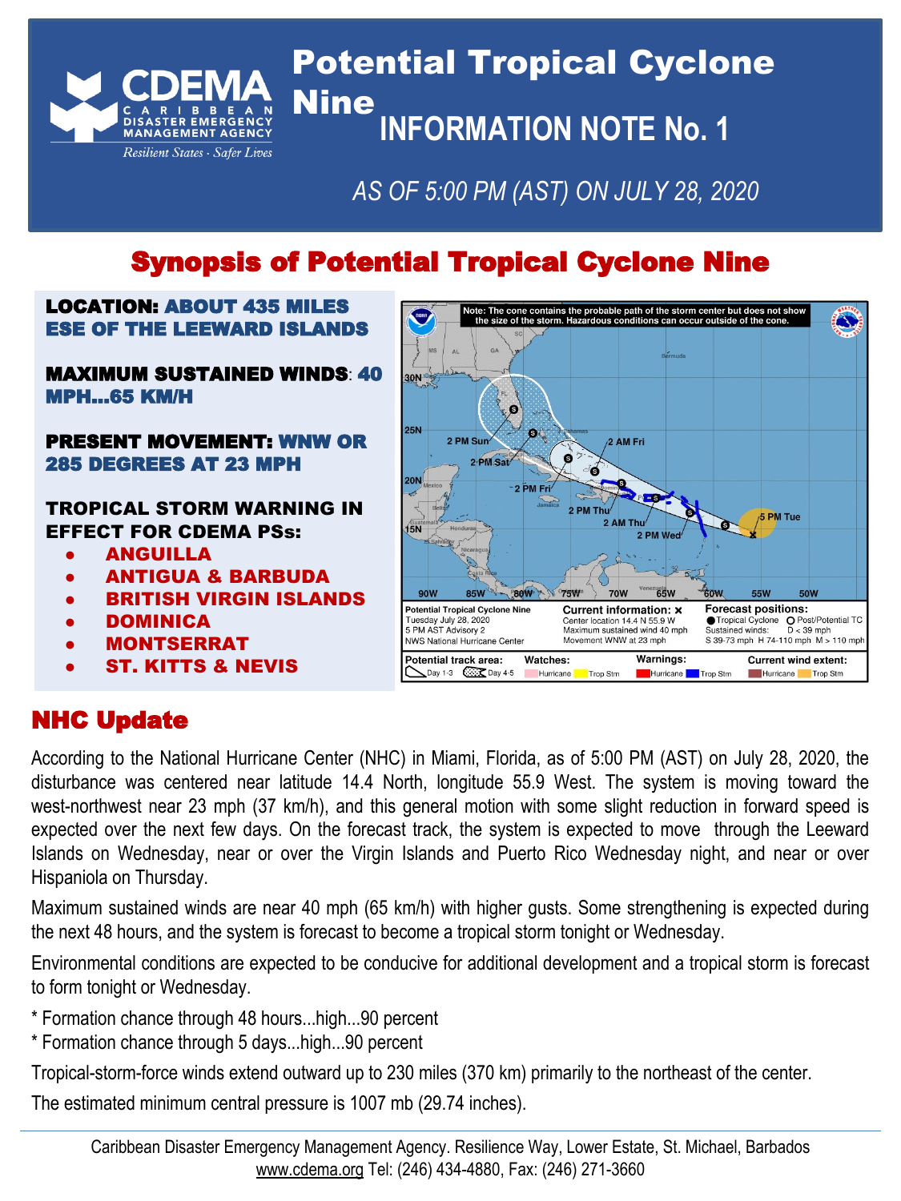

# Potential Tropical Cyclone Nine **INFORMATION NOTE No. 1**

## *AS OF 5:00 PM (AST) ON JULY 28, 2020*

# Synopsis of Potential Tropical Cyclone Nine

#### LOCATION: ABOUT 435 MILES ESE OF THE LEEWARD ISLANDS

#### MAXIMUM SUSTAINED WINDS: 40 MPH...65 KM/H

#### PRESENT MOVEMENT: WNW OR 285 DEGREES AT 23 MPH

#### TROPICAL STORM WARNING IN EFFECT FOR CDEMA PSs:

- ANGUILLA
- ANTIGUA & BARBUDA
- **BRITISH VIRGIN ISLANDS**
- DOMINICA
- **MONTSERRAT**
- **ST. KITTS & NEVIS**



## NHC Update

According to the National Hurricane Center (NHC) in Miami, Florida, as of 5:00 PM (AST) on July 28, 2020, the disturbance was centered near latitude 14.4 North, longitude 55.9 West. The system is moving toward the west-northwest near 23 mph (37 km/h), and this general motion with some slight reduction in forward speed is expected over the next few days. On the forecast track, the system is expected to move through the Leeward Islands on Wednesday, near or over the Virgin Islands and Puerto Rico Wednesday night, and near or over Hispaniola on Thursday.

Maximum sustained winds are near 40 mph (65 km/h) with higher gusts. Some strengthening is expected during the next 48 hours, and the system is forecast to become a tropical storm tonight or Wednesday.

Environmental conditions are expected to be conducive for additional development and a tropical storm is forecast to form tonight or Wednesday.

- \* Formation chance through 48 hours...high...90 percent
- \* Formation chance through 5 days...high...90 percent

Tropical-storm-force winds extend outward up to 230 miles (370 km) primarily to the northeast of the center.

The estimated minimum central pressure is 1007 mb (29.74 inches).